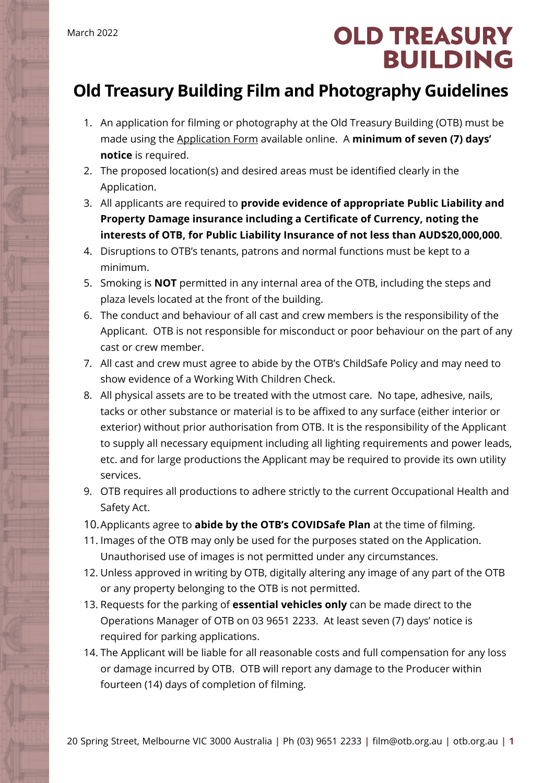## **OLD TREASURY BUILDING**

## **Old Treasury Building Film and Photography Guidelines**

- 1. An application for filming or photography at the Old Treasury Building (OTB) must be made using the [Application Form](https://www.oldtreasurybuilding.org.au/filming/) available online. A **minimum of seven (7) days' notice** is required.
- 2. The proposed location(s) and desired areas must be identified clearly in the Application.
- 3. All applicants are required to **provide evidence of appropriate Public Liability and Property Damage insurance including a Certificate of Currency, noting the interests of OTB, for Public Liability Insurance of not less than AUD\$20,000,000**.
- 4. Disruptions to OTB's tenants, patrons and normal functions must be kept to a minimum.
- 5. Smoking is **NOT** permitted in any internal area of the OTB, including the steps and plaza levels located at the front of the building.
- 6. The conduct and behaviour of all cast and crew members is the responsibility of the Applicant. OTB is not responsible for misconduct or poor behaviour on the part of any cast or crew member.
- 7. All cast and crew must agree to abide by the OTB's ChildSafe Policy and may need to show evidence of a Working With Children Check.
- 8. All physical assets are to be treated with the utmost care. No tape, adhesive, nails, tacks or other substance or material is to be affixed to any surface (either interior or exterior) without prior authorisation from OTB. It is the responsibility of the Applicant to supply all necessary equipment including all lighting requirements and power leads, etc. and for large productions the Applicant may be required to provide its own utility services.
- 9. OTB requires all productions to adhere strictly to the current Occupational Health and Safety Act.
- 10.Applicants agree to **abide by the OTB's COVIDSafe Plan** at the time of filming.
- 11. Images of the OTB may only be used for the purposes stated on the Application. Unauthorised use of images is not permitted under any circumstances.
- 12. Unless approved in writing by OTB, digitally altering any image of any part of the OTB or any property belonging to the OTB is not permitted.
- 13. Requests for the parking of **essential vehicles only** can be made direct to the Operations Manager of OTB on 03 9651 2233. At least seven (7) days' notice is required for parking applications.
- 14. The Applicant will be liable for all reasonable costs and full compensation for any loss or damage incurred by OTB. OTB will report any damage to the Producer within fourteen (14) days of completion of filming.